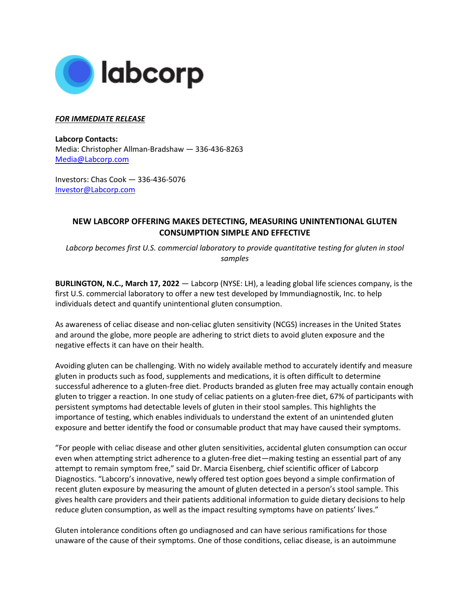

## *FOR IMMEDIATE RELEASE*

**Labcorp Contacts:**  Media: Christopher Allman-Bradshaw — 336-436-8263 [Media@Labcorp.com](mailto:Media@Labcorp.com)

Investors: Chas Cook — 336-436-5076 [Investor@Labcorp.com](mailto:Investor@Labcorp.com) 

## **NEW LABCORP OFFERING MAKES DETECTING, MEASURING UNINTENTIONAL GLUTEN CONSUMPTION SIMPLE AND EFFECTIVE**

*Labcorp becomes first U.S. commercial laboratory to provide quantitative testing for gluten in stool samples*

**BURLINGTON, N.C., March 17, 2022** — Labcorp (NYSE: LH), a leading global life sciences company, is the first U.S. commercial laboratory to offer a new test developed by Immundiagnostik, Inc. to help individuals detect and quantify unintentional gluten consumption.

As awareness of celiac disease and non-celiac gluten sensitivity (NCGS) increases in the United States and around the globe, more people are adhering to strict diets to avoid gluten exposure and the negative effects it can have on their health.

Avoiding gluten can be challenging. With no widely available method to accurately identify and measure gluten in products such as food, supplements and medications, it is often difficult to determine successful adherence to a gluten-free diet. Products branded as gluten free may actually contain enough gluten to trigger a reaction. In one study of celiac patients on a gluten-free diet, 67% of participants with persistent symptoms had detectable levels of gluten in their stool samples. This highlights the importance of testing, which enables individuals to understand the extent of an unintended gluten exposure and better identify the food or consumable product that may have caused their symptoms.

"For people with celiac disease and other gluten sensitivities, accidental gluten consumption can occur even when attempting strict adherence to a gluten-free diet—making testing an essential part of any attempt to remain symptom free," said Dr. Marcia Eisenberg, chief scientific officer of Labcorp Diagnostics. "Labcorp's innovative, newly offered test option goes beyond a simple confirmation of recent gluten exposure by measuring the amount of gluten detected in a person's stool sample. This gives health care providers and their patients additional information to guide dietary decisions to help reduce gluten consumption, as well as the impact resulting symptoms have on patients' lives."

Gluten intolerance conditions often go undiagnosed and can have serious ramifications for those unaware of the cause of their symptoms. One of those conditions, celiac disease, is an autoimmune